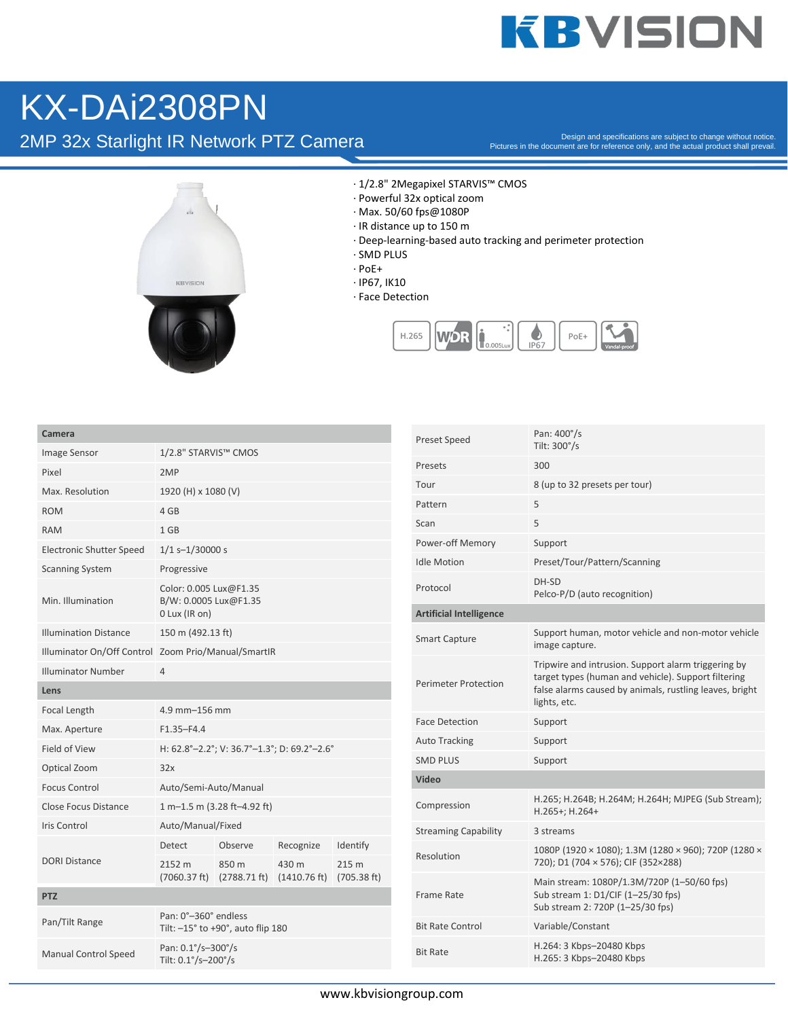## **KBVISION**

## KX-DAi2308PN

2MP 32x Starlight IR Network PTZ Camera

Pictures in the document are for reference only, and the actual product shall prevail.



- · 1/2.8" 2Megapixel STARVIS™ CMOS
- · Powerful 32x optical zoom
- · Max. 50/60 fps@1080P
- · IR distance up to 150 m
- · Deep-learning-based auto tracking and perimeter protection
- · SMD PLUS
- · PoE+
- · IP67, IK10
- · Face Detection



| ame |  |
|-----|--|
|     |  |

| Camera                          |                                                                           |                         |                    |                      |
|---------------------------------|---------------------------------------------------------------------------|-------------------------|--------------------|----------------------|
| Image Sensor                    | 1/2.8" STARVIS™ CMOS                                                      |                         |                    |                      |
| Pixel                           | 2MP                                                                       |                         |                    |                      |
| Max. Resolution                 | 1920 (H) x 1080 (V)                                                       |                         |                    |                      |
| <b>ROM</b>                      | 4 GB                                                                      |                         |                    |                      |
| <b>RAM</b>                      | $1$ GB                                                                    |                         |                    |                      |
| <b>Electronic Shutter Speed</b> | $1/1$ s-1/30000 s                                                         |                         |                    |                      |
| <b>Scanning System</b>          | Progressive                                                               |                         |                    |                      |
| Min. Illumination               | Color: 0.005 Lux@F1.35<br>B/W: 0.0005 Lux@F1.35<br>0 Lux (IR on)          |                         |                    |                      |
| <b>Illumination Distance</b>    | 150 m (492.13 ft)                                                         |                         |                    |                      |
|                                 | Illuminator On/Off Control Zoom Prio/Manual/SmartIR                       |                         |                    |                      |
| <b>Illuminator Number</b>       | $\overline{4}$                                                            |                         |                    |                      |
| Lens                            |                                                                           |                         |                    |                      |
| Focal Length                    | 4.9 mm-156 mm                                                             |                         |                    |                      |
| Max. Aperture                   | $F1.35 - F4.4$                                                            |                         |                    |                      |
| Field of View                   | H: 62.8°-2.2°; V: 36.7°-1.3°; D: 69.2°-2.6°                               |                         |                    |                      |
| Optical Zoom                    | 32x                                                                       |                         |                    |                      |
| <b>Focus Control</b>            | Auto/Semi-Auto/Manual                                                     |                         |                    |                      |
| Close Focus Distance            | 1 m-1.5 m (3.28 ft-4.92 ft)                                               |                         |                    |                      |
| Iris Control                    | Auto/Manual/Fixed                                                         |                         |                    |                      |
|                                 | Detect                                                                    | Observe                 | Recognize          | Identify             |
| <b>DORI Distance</b>            | 2152 m<br>(7060.37 ft)                                                    | 850 m<br>$(2788.71$ ft) | 430 m<br>(1410.76) | 215 m<br>(705.38 ft) |
| <b>PTZ</b>                      |                                                                           |                         |                    |                      |
| Pan/Tilt Range                  | Pan: 0°-360° endless<br>Tilt: $-15^\circ$ to +90 $^\circ$ , auto flip 180 |                         |                    |                      |
| <b>Manual Control Speed</b>     | Pan: 0.1°/s-300°/s<br>Tilt: 0.1°/s-200°/s                                 |                         |                    |                      |
|                                 |                                                                           |                         |                    |                      |

| <b>Preset Speed</b>            | Pan: 400°/s<br>Tilt: 300°/s                                                                                                                                                           |
|--------------------------------|---------------------------------------------------------------------------------------------------------------------------------------------------------------------------------------|
| Presets                        | 300                                                                                                                                                                                   |
| Tour                           | 8 (up to 32 presets per tour)                                                                                                                                                         |
| Pattern                        | 5                                                                                                                                                                                     |
| Scan                           | 5                                                                                                                                                                                     |
| Power-off Memory               | Support                                                                                                                                                                               |
| <b>Idle Motion</b>             | Preset/Tour/Pattern/Scanning                                                                                                                                                          |
| Protocol                       | DH-SD<br>Pelco-P/D (auto recognition)                                                                                                                                                 |
| <b>Artificial Intelligence</b> |                                                                                                                                                                                       |
| <b>Smart Capture</b>           | Support human, motor vehicle and non-motor vehicle<br>image capture.                                                                                                                  |
| <b>Perimeter Protection</b>    | Tripwire and intrusion. Support alarm triggering by<br>target types (human and vehicle). Support filtering<br>false alarms caused by animals, rustling leaves, bright<br>lights, etc. |
| <b>Face Detection</b>          | Support                                                                                                                                                                               |
| <b>Auto Tracking</b>           | Support                                                                                                                                                                               |
| <b>SMD PLUS</b>                | Support                                                                                                                                                                               |
| Video                          |                                                                                                                                                                                       |
| Compression                    | H.265; H.264B; H.264M; H.264H; MJPEG (Sub Stream);<br>$H.265+; H.264+$                                                                                                                |
| <b>Streaming Capability</b>    | 3 streams                                                                                                                                                                             |
| Resolution                     | 1080P (1920 × 1080); 1.3M (1280 × 960); 720P (1280 ×<br>720); D1 (704 × 576); CIF (352×288)                                                                                           |
| Frame Rate                     | Main stream: 1080P/1.3M/720P (1-50/60 fps)<br>Sub stream 1: D1/CIF (1-25/30 fps)<br>Sub stream 2: 720P (1-25/30 fps)                                                                  |
| <b>Bit Rate Control</b>        | Variable/Constant                                                                                                                                                                     |
| <b>Bit Rate</b>                | H.264: 3 Kbps-20480 Kbps<br>H.265: 3 Kbps-20480 Kbps                                                                                                                                  |